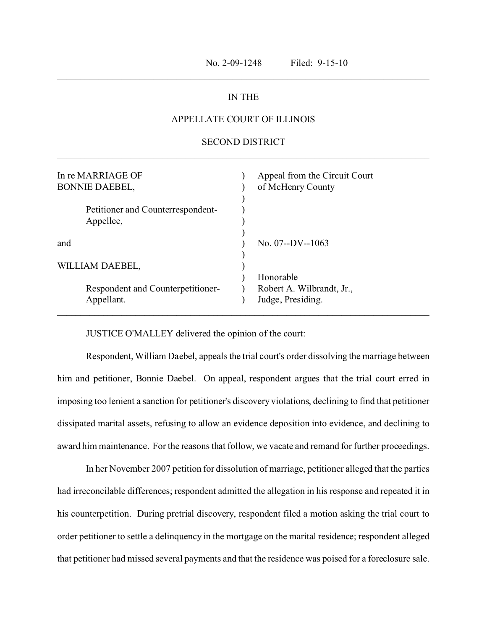## IN THE

\_\_\_\_\_\_\_\_\_\_\_\_\_\_\_\_\_\_\_\_\_\_\_\_\_\_\_\_\_\_\_\_\_\_\_\_\_\_\_\_\_\_\_\_\_\_\_\_\_\_\_\_\_\_\_\_\_\_\_\_\_\_\_\_\_\_\_\_\_\_\_\_\_\_\_\_\_\_\_\_\_

## APPELLATE COURT OF ILLINOIS

## SECOND DISTRICT \_\_\_\_\_\_\_\_\_\_\_\_\_\_\_\_\_\_\_\_\_\_\_\_\_\_\_\_\_\_\_\_\_\_\_\_\_\_\_\_\_\_\_\_\_\_\_\_\_\_\_\_\_\_\_\_\_\_\_\_\_\_\_\_\_\_\_\_\_\_\_\_\_\_\_\_\_\_\_\_\_

| In re MARRIAGE OF<br><b>BONNIE DAEBEL,</b>     | Appeal from the Circuit Court<br>of McHenry County |
|------------------------------------------------|----------------------------------------------------|
| Petitioner and Counterrespondent-<br>Appellee, |                                                    |
| and                                            | No. $07 - DV - 1063$                               |
| WILLIAM DAEBEL,                                |                                                    |
|                                                | Honorable                                          |
| Respondent and Counterpetitioner-              | Robert A. Wilbrandt, Jr.,                          |
| Appellant.                                     | Judge, Presiding.                                  |
|                                                |                                                    |

JUSTICE O'MALLEY delivered the opinion of the court:

Respondent, William Daebel, appeals the trial court's order dissolving the marriage between him and petitioner, Bonnie Daebel. On appeal, respondent argues that the trial court erred in imposing too lenient a sanction for petitioner's discovery violations, declining to find that petitioner dissipated marital assets, refusing to allow an evidence deposition into evidence, and declining to award him maintenance. For the reasons that follow, we vacate and remand for further proceedings.

In her November 2007 petition for dissolution of marriage, petitioner alleged that the parties had irreconcilable differences; respondent admitted the allegation in his response and repeated it in his counterpetition. During pretrial discovery, respondent filed a motion asking the trial court to order petitioner to settle a delinquency in the mortgage on the marital residence; respondent alleged that petitioner had missed several payments and that the residence was poised for a foreclosure sale.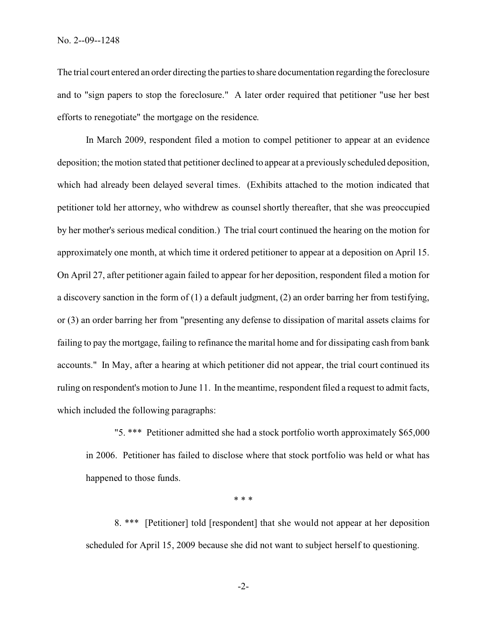The trial court entered an order directing the parties to share documentation regarding the foreclosure and to "sign papers to stop the foreclosure." A later order required that petitioner "use her best efforts to renegotiate" the mortgage on the residence.

In March 2009, respondent filed a motion to compel petitioner to appear at an evidence deposition; the motion stated that petitioner declined to appear at a previously scheduled deposition, which had already been delayed several times. (Exhibits attached to the motion indicated that petitioner told her attorney, who withdrew as counsel shortly thereafter, that she was preoccupied by her mother's serious medical condition.) The trial court continued the hearing on the motion for approximately one month, at which time it ordered petitioner to appear at a deposition on April 15. On April 27, after petitioner again failed to appear for her deposition, respondent filed a motion for a discovery sanction in the form of (1) a default judgment, (2) an order barring her from testifying, or (3) an order barring her from "presenting any defense to dissipation of marital assets claims for failing to pay the mortgage, failing to refinance the marital home and for dissipating cash from bank accounts." In May, after a hearing at which petitioner did not appear, the trial court continued its ruling on respondent's motion to June 11. In the meantime, respondent filed a request to admit facts, which included the following paragraphs:

"5. \*\*\* Petitioner admitted she had a stock portfolio worth approximately \$65,000 in 2006. Petitioner has failed to disclose where that stock portfolio was held or what has happened to those funds.

\* \* \*

8. \*\*\* [Petitioner] told [respondent] that she would not appear at her deposition scheduled for April 15, 2009 because she did not want to subject herself to questioning.

-2-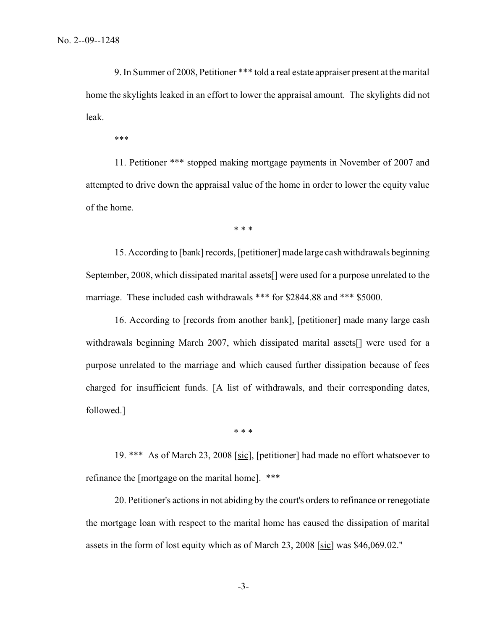9. In Summer of 2008, Petitioner \*\*\* told a real estate appraiser present at the marital home the skylights leaked in an effort to lower the appraisal amount. The skylights did not leak.

\*\*\*

11. Petitioner \*\*\* stopped making mortgage payments in November of 2007 and attempted to drive down the appraisal value of the home in order to lower the equity value of the home.

\* \* \*

15. According to [bank] records, [petitioner] made large cash withdrawals beginning September, 2008, which dissipated marital assets[] were used for a purpose unrelated to the marriage. These included cash withdrawals \*\*\* for \$2844.88 and \*\*\* \$5000.

16. According to [records from another bank], [petitioner] made many large cash withdrawals beginning March 2007, which dissipated marital assets[] were used for a purpose unrelated to the marriage and which caused further dissipation because of fees charged for insufficient funds. [A list of withdrawals, and their corresponding dates, followed.]

\* \* \*

19. \*\*\* As of March 23, 2008 [sic], [petitioner] had made no effort whatsoever to refinance the [mortgage on the marital home]. \*\*\*

20. Petitioner's actions in not abiding by the court's orders to refinance or renegotiate the mortgage loan with respect to the marital home has caused the dissipation of marital assets in the form of lost equity which as of March 23, 2008 [sic] was \$46,069.02."

-3-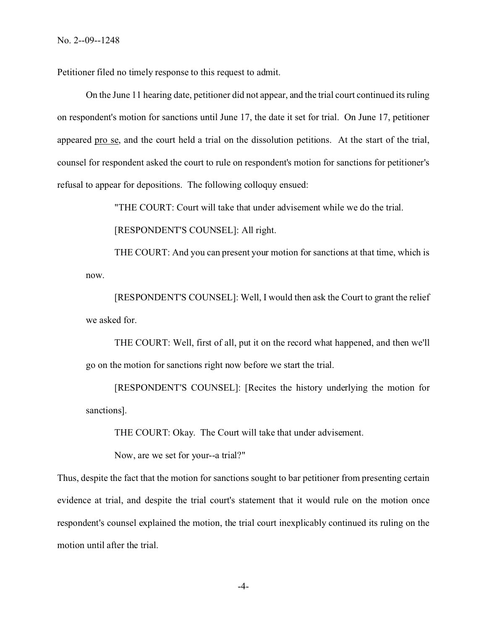Petitioner filed no timely response to this request to admit.

On the June 11 hearing date, petitioner did not appear, and the trial court continued its ruling on respondent's motion for sanctions until June 17, the date it set for trial. On June 17, petitioner appeared pro se, and the court held a trial on the dissolution petitions. At the start of the trial, counsel for respondent asked the court to rule on respondent's motion for sanctions for petitioner's refusal to appear for depositions. The following colloquy ensued:

"THE COURT: Court will take that under advisement while we do the trial.

[RESPONDENT'S COUNSEL]: All right.

THE COURT: And you can present your motion for sanctions at that time, which is now.

[RESPONDENT'S COUNSEL]: Well, I would then ask the Court to grant the relief we asked for.

THE COURT: Well, first of all, put it on the record what happened, and then we'll go on the motion for sanctions right now before we start the trial.

[RESPONDENT'S COUNSEL]: [Recites the history underlying the motion for sanctions].

THE COURT: Okay. The Court will take that under advisement.

Now, are we set for your--a trial?"

Thus, despite the fact that the motion for sanctions sought to bar petitioner from presenting certain evidence at trial, and despite the trial court's statement that it would rule on the motion once respondent's counsel explained the motion, the trial court inexplicably continued its ruling on the motion until after the trial.

-4-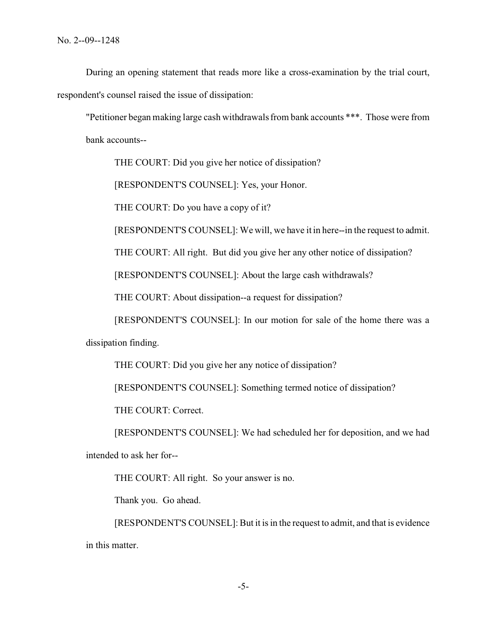During an opening statement that reads more like a cross-examination by the trial court, respondent's counsel raised the issue of dissipation:

"Petitioner began making large cash withdrawals from bank accounts \*\*\*. Those were from bank accounts--

THE COURT: Did you give her notice of dissipation?

[RESPONDENT'S COUNSEL]: Yes, your Honor.

THE COURT: Do you have a copy of it?

[RESPONDENT'S COUNSEL]: We will, we have it in here--in the request to admit.

THE COURT: All right. But did you give her any other notice of dissipation?

[RESPONDENT'S COUNSEL]: About the large cash withdrawals?

THE COURT: About dissipation--a request for dissipation?

[RESPONDENT'S COUNSEL]: In our motion for sale of the home there was a

dissipation finding.

THE COURT: Did you give her any notice of dissipation?

[RESPONDENT'S COUNSEL]: Something termed notice of dissipation?

THE COURT: Correct.

[RESPONDENT'S COUNSEL]: We had scheduled her for deposition, and we had intended to ask her for--

THE COURT: All right. So your answer is no.

Thank you. Go ahead.

[RESPONDENT'S COUNSEL]: But it is in the request to admit, and that is evidence in this matter.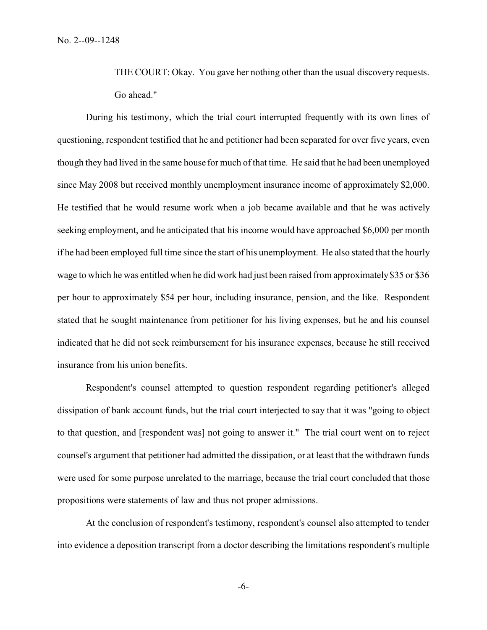THE COURT: Okay. You gave her nothing other than the usual discovery requests. Go ahead."

During his testimony, which the trial court interrupted frequently with its own lines of questioning, respondent testified that he and petitioner had been separated for over five years, even though they had lived in the same house for much of that time. He said that he had been unemployed since May 2008 but received monthly unemployment insurance income of approximately \$2,000. He testified that he would resume work when a job became available and that he was actively seeking employment, and he anticipated that his income would have approached \$6,000 per month if he had been employed full time since the start of his unemployment. He also stated that the hourly wage to which he was entitled when he did work had just been raised from approximately \$35 or \$36 per hour to approximately \$54 per hour, including insurance, pension, and the like. Respondent stated that he sought maintenance from petitioner for his living expenses, but he and his counsel indicated that he did not seek reimbursement for his insurance expenses, because he still received insurance from his union benefits.

Respondent's counsel attempted to question respondent regarding petitioner's alleged dissipation of bank account funds, but the trial court interjected to say that it was "going to object to that question, and [respondent was] not going to answer it." The trial court went on to reject counsel's argument that petitioner had admitted the dissipation, or at least that the withdrawn funds were used for some purpose unrelated to the marriage, because the trial court concluded that those propositions were statements of law and thus not proper admissions.

At the conclusion of respondent's testimony, respondent's counsel also attempted to tender into evidence a deposition transcript from a doctor describing the limitations respondent's multiple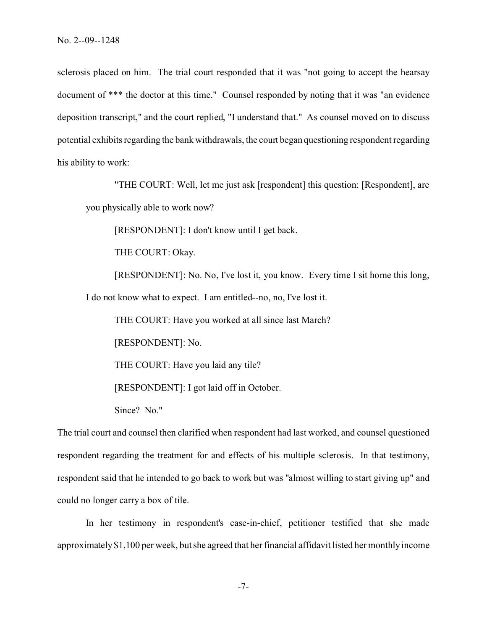sclerosis placed on him. The trial court responded that it was "not going to accept the hearsay document of \*\*\* the doctor at this time." Counsel responded by noting that it was "an evidence deposition transcript," and the court replied, "I understand that." As counsel moved on to discuss potential exhibits regarding the bank withdrawals, the court began questioning respondent regarding his ability to work:

"THE COURT: Well, let me just ask [respondent] this question: [Respondent], are you physically able to work now?

[RESPONDENT]: I don't know until I get back.

THE COURT: Okay.

[RESPONDENT]: No. No, I've lost it, you know. Every time I sit home this long, I do not know what to expect. I am entitled--no, no, I've lost it.

THE COURT: Have you worked at all since last March?

[RESPONDENT]: No.

THE COURT: Have you laid any tile?

[RESPONDENT]: I got laid off in October.

Since? No."

The trial court and counsel then clarified when respondent had last worked, and counsel questioned respondent regarding the treatment for and effects of his multiple sclerosis. In that testimony, respondent said that he intended to go back to work but was "almost willing to start giving up" and could no longer carry a box of tile.

In her testimony in respondent's case-in-chief, petitioner testified that she made approximately \$1,100 per week, but she agreed that her financial affidavit listed her monthly income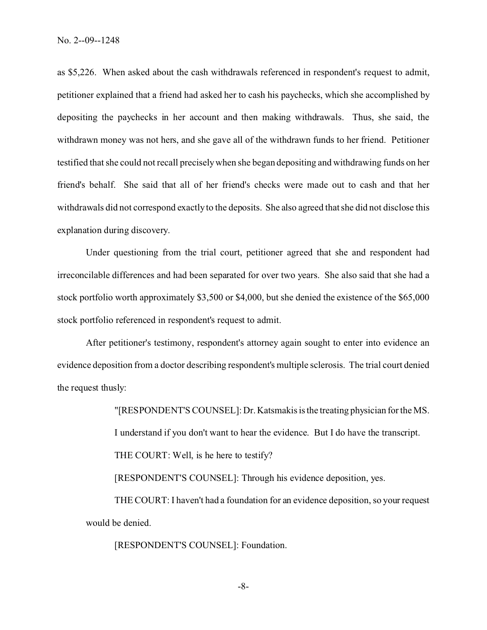as \$5,226. When asked about the cash withdrawals referenced in respondent's request to admit, petitioner explained that a friend had asked her to cash his paychecks, which she accomplished by depositing the paychecks in her account and then making withdrawals. Thus, she said, the withdrawn money was not hers, and she gave all of the withdrawn funds to her friend. Petitioner testified that she could not recall precisely when she began depositing and withdrawing funds on her friend's behalf. She said that all of her friend's checks were made out to cash and that her withdrawals did not correspond exactly to the deposits. She also agreed that she did not disclose this explanation during discovery.

Under questioning from the trial court, petitioner agreed that she and respondent had irreconcilable differences and had been separated for over two years. She also said that she had a stock portfolio worth approximately \$3,500 or \$4,000, but she denied the existence of the \$65,000 stock portfolio referenced in respondent's request to admit.

After petitioner's testimony, respondent's attorney again sought to enter into evidence an evidence deposition from a doctor describing respondent's multiple sclerosis. The trial court denied the request thusly:

> "[RESPONDENT'S COUNSEL]: Dr. Katsmakis is the treating physician for the MS. I understand if you don't want to hear the evidence. But I do have the transcript. THE COURT: Well, is he here to testify?

[RESPONDENT'S COUNSEL]: Through his evidence deposition, yes.

THE COURT: I haven't had a foundation for an evidence deposition, so your request would be denied.

[RESPONDENT'S COUNSEL]: Foundation.

-8-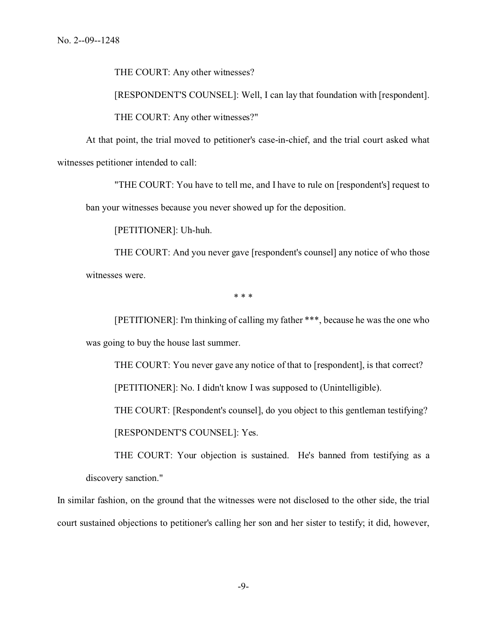THE COURT: Any other witnesses?

[RESPONDENT'S COUNSEL]: Well, I can lay that foundation with [respondent].

THE COURT: Any other witnesses?"

At that point, the trial moved to petitioner's case-in-chief, and the trial court asked what witnesses petitioner intended to call:

"THE COURT: You have to tell me, and I have to rule on [respondent's] request to

ban your witnesses because you never showed up for the deposition.

[PETITIONER]: Uh-huh.

THE COURT: And you never gave [respondent's counsel] any notice of who those witnesses were.

\* \* \*

[PETITIONER]: I'm thinking of calling my father \*\*\*, because he was the one who was going to buy the house last summer.

THE COURT: You never gave any notice of that to [respondent], is that correct?

[PETITIONER]: No. I didn't know I was supposed to (Unintelligible).

THE COURT: [Respondent's counsel], do you object to this gentleman testifying?

[RESPONDENT'S COUNSEL]: Yes.

THE COURT: Your objection is sustained. He's banned from testifying as a discovery sanction."

In similar fashion, on the ground that the witnesses were not disclosed to the other side, the trial court sustained objections to petitioner's calling her son and her sister to testify; it did, however,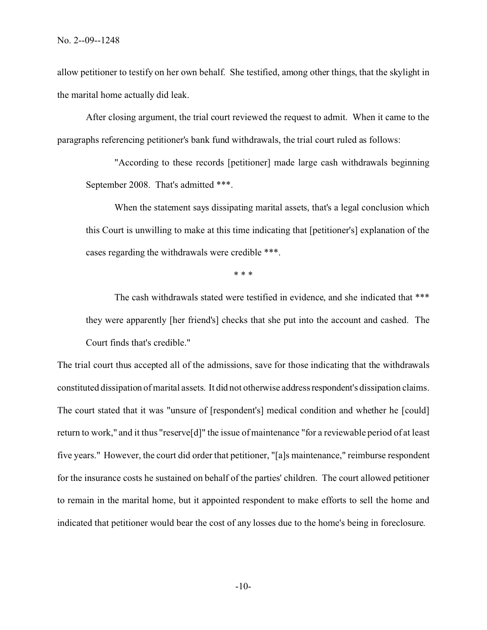allow petitioner to testify on her own behalf. She testified, among other things, that the skylight in the marital home actually did leak.

After closing argument, the trial court reviewed the request to admit. When it came to the paragraphs referencing petitioner's bank fund withdrawals, the trial court ruled as follows:

"According to these records [petitioner] made large cash withdrawals beginning September 2008. That's admitted \*\*\*.

When the statement says dissipating marital assets, that's a legal conclusion which this Court is unwilling to make at this time indicating that [petitioner's] explanation of the cases regarding the withdrawals were credible \*\*\*.

\* \* \*

The cash withdrawals stated were testified in evidence, and she indicated that \*\*\* they were apparently [her friend's] checks that she put into the account and cashed. The Court finds that's credible."

The trial court thus accepted all of the admissions, save for those indicating that the withdrawals constituted dissipation of marital assets. It did not otherwise address respondent's dissipation claims. The court stated that it was "unsure of [respondent's] medical condition and whether he [could] return to work," and it thus "reserve[d]" the issue of maintenance "for a reviewable period of at least five years." However, the court did order that petitioner, "[a]s maintenance," reimburse respondent for the insurance costs he sustained on behalf of the parties' children. The court allowed petitioner to remain in the marital home, but it appointed respondent to make efforts to sell the home and indicated that petitioner would bear the cost of any losses due to the home's being in foreclosure.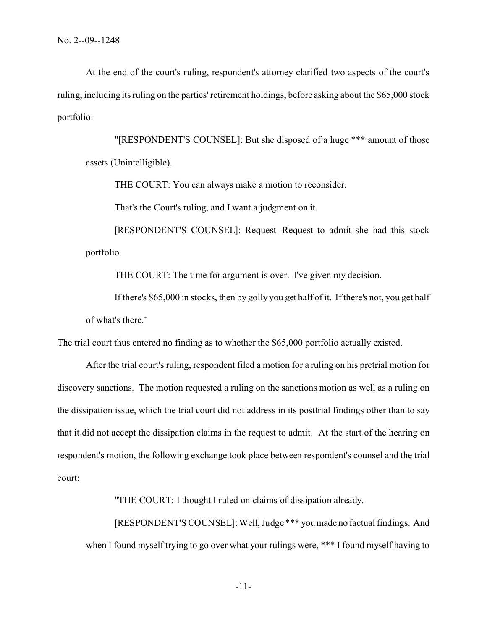At the end of the court's ruling, respondent's attorney clarified two aspects of the court's ruling, including its ruling on the parties' retirement holdings, before asking about the \$65,000 stock portfolio:

"[RESPONDENT'S COUNSEL]: But she disposed of a huge \*\*\* amount of those assets (Unintelligible).

THE COURT: You can always make a motion to reconsider.

That's the Court's ruling, and I want a judgment on it.

[RESPONDENT'S COUNSEL]: Request--Request to admit she had this stock portfolio.

THE COURT: The time for argument is over. I've given my decision.

If there's \$65,000 in stocks, then by golly you get half of it. If there's not, you get half of what's there."

The trial court thus entered no finding as to whether the \$65,000 portfolio actually existed.

After the trial court's ruling, respondent filed a motion for a ruling on his pretrial motion for discovery sanctions. The motion requested a ruling on the sanctions motion as well as a ruling on the dissipation issue, which the trial court did not address in its posttrial findings other than to say that it did not accept the dissipation claims in the request to admit. At the start of the hearing on respondent's motion, the following exchange took place between respondent's counsel and the trial court:

"THE COURT: I thought I ruled on claims of dissipation already.

[RESPONDENT'S COUNSEL]: Well, Judge \*\*\* youmade no factual findings. And when I found myself trying to go over what your rulings were, \*\*\* I found myself having to

-11-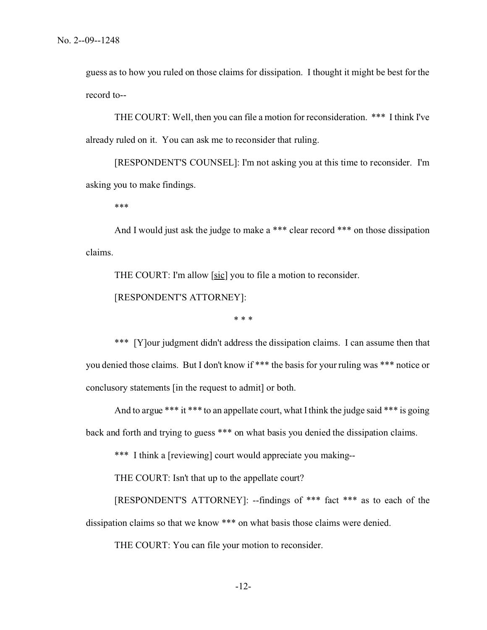guess as to how you ruled on those claims for dissipation. I thought it might be best for the record to--

THE COURT: Well, then you can file a motion for reconsideration. \*\*\* I think I've already ruled on it. You can ask me to reconsider that ruling.

[RESPONDENT'S COUNSEL]: I'm not asking you at this time to reconsider. I'm asking you to make findings.

\*\*\*

And I would just ask the judge to make a \*\*\* clear record \*\*\* on those dissipation claims.

THE COURT: I'm allow [sic] you to file a motion to reconsider.

[RESPONDENT'S ATTORNEY]:

\* \* \*

\*\*\* [Y]our judgment didn't address the dissipation claims. I can assume then that you denied those claims. But I don't know if \*\*\* the basis for your ruling was \*\*\* notice or conclusory statements [in the request to admit] or both.

And to argue \*\*\* it \*\*\* to an appellate court, what I think the judge said \*\*\* is going back and forth and trying to guess \*\*\* on what basis you denied the dissipation claims.

\*\*\* I think a [reviewing] court would appreciate you making--

THE COURT: Isn't that up to the appellate court?

[RESPONDENT'S ATTORNEY]: --findings of \*\*\* fact \*\*\* as to each of the dissipation claims so that we know \*\*\* on what basis those claims were denied.

THE COURT: You can file your motion to reconsider.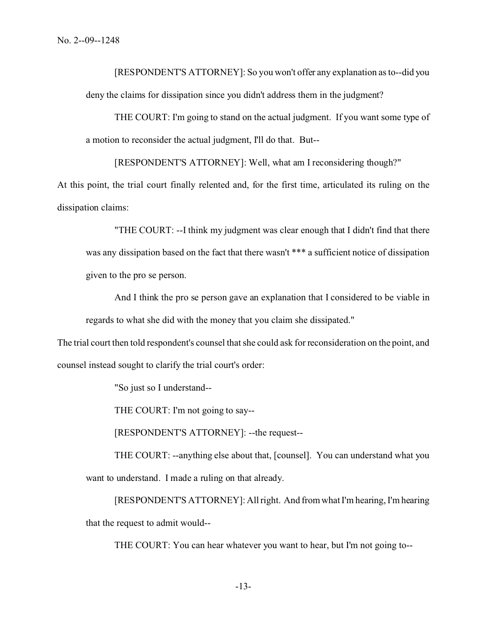[RESPONDENT'S ATTORNEY]: So you won't offer any explanation as to--did you deny the claims for dissipation since you didn't address them in the judgment?

THE COURT: I'm going to stand on the actual judgment. If you want some type of a motion to reconsider the actual judgment, I'll do that. But--

[RESPONDENT'S ATTORNEY]: Well, what am I reconsidering though?"

At this point, the trial court finally relented and, for the first time, articulated its ruling on the dissipation claims:

"THE COURT: --I think my judgment was clear enough that I didn't find that there was any dissipation based on the fact that there wasn't \*\*\* a sufficient notice of dissipation given to the pro se person.

And I think the pro se person gave an explanation that I considered to be viable in regards to what she did with the money that you claim she dissipated."

The trial court then told respondent's counsel that she could ask for reconsideration on the point, and counsel instead sought to clarify the trial court's order:

"So just so I understand--

THE COURT: I'm not going to say--

[RESPONDENT'S ATTORNEY]: --the request--

THE COURT: --anything else about that, [counsel]. You can understand what you want to understand. I made a ruling on that already.

[RESPONDENT'S ATTORNEY]: All right. And from what I'm hearing, I'm hearing that the request to admit would--

THE COURT: You can hear whatever you want to hear, but I'm not going to--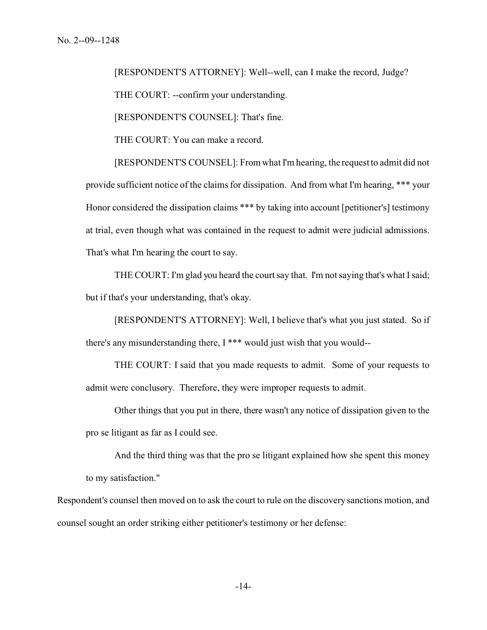[RESPONDENT'S ATTORNEY]: Well--well, can I make the record, Judge? THE COURT: --confirm your understanding.

[RESPONDENT'S COUNSEL]: That's fine.

THE COURT: You can make a record.

[RESPONDENT'S COUNSEL]: From what I'm hearing, the request to admit did not provide sufficient notice of the claims for dissipation. And from what I'm hearing, \*\*\* your Honor considered the dissipation claims \*\*\* by taking into account [petitioner's] testimony at trial, even though what was contained in the request to admit were judicial admissions. That's what I'm hearing the court to say.

THE COURT: I'm glad you heard the court say that. I'm not saying that's what I said; but if that's your understanding, that's okay.

[RESPONDENT'S ATTORNEY]: Well, I believe that's what you just stated. So if there's any misunderstanding there, I \*\*\* would just wish that you would--

THE COURT: I said that you made requests to admit. Some of your requests to admit were conclusory. Therefore, they were improper requests to admit.

Other things that you put in there, there wasn't any notice of dissipation given to the pro se litigant as far as I could see.

And the third thing was that the pro se litigant explained how she spent this money to my satisfaction."

Respondent's counsel then moved on to ask the court to rule on the discovery sanctions motion, and counsel sought an order striking either petitioner's testimony or her defense: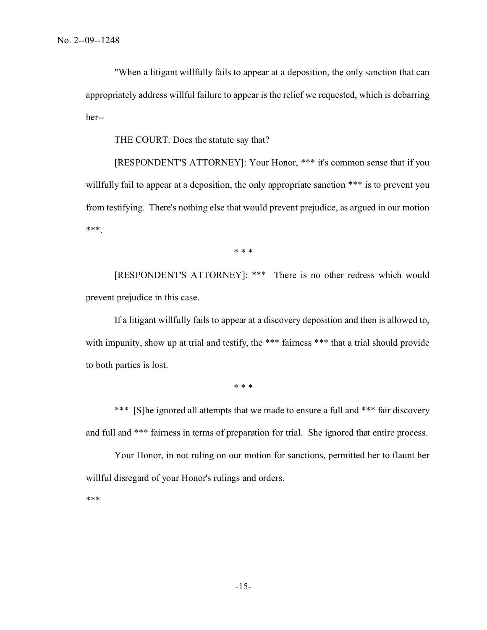"When a litigant willfully fails to appear at a deposition, the only sanction that can appropriately address willful failure to appear is the relief we requested, which is debarring her--

THE COURT: Does the statute say that?

[RESPONDENT'S ATTORNEY]: Your Honor, \*\*\* it's common sense that if you willfully fail to appear at a deposition, the only appropriate sanction \*\*\* is to prevent you from testifying. There's nothing else that would prevent prejudice, as argued in our motion \*\*\*.

\* \* \*

[RESPONDENT'S ATTORNEY]: \*\*\* There is no other redress which would prevent prejudice in this case.

If a litigant willfully fails to appear at a discovery deposition and then is allowed to, with impunity, show up at trial and testify, the \*\*\* fairness \*\*\* that a trial should provide to both parties is lost.

\* \* \*

\*\*\* [S]he ignored all attempts that we made to ensure a full and \*\*\* fair discovery and full and \*\*\* fairness in terms of preparation for trial. She ignored that entire process.

Your Honor, in not ruling on our motion for sanctions, permitted her to flaunt her willful disregard of your Honor's rulings and orders.

\*\*\*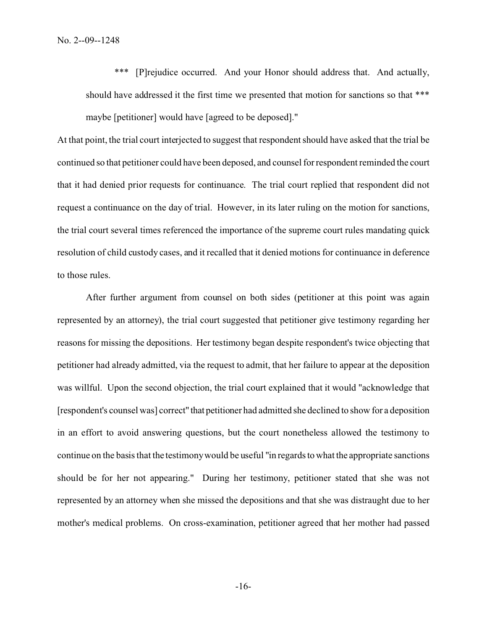\*\*\* [P]rejudice occurred. And your Honor should address that. And actually, should have addressed it the first time we presented that motion for sanctions so that \*\*\* maybe [petitioner] would have [agreed to be deposed]."

At that point, the trial court interjected to suggest that respondent should have asked that the trial be continued so that petitioner could have been deposed, and counsel for respondent reminded the court that it had denied prior requests for continuance. The trial court replied that respondent did not request a continuance on the day of trial. However, in its later ruling on the motion for sanctions, the trial court several times referenced the importance of the supreme court rules mandating quick resolution of child custody cases, and it recalled that it denied motions for continuance in deference to those rules.

After further argument from counsel on both sides (petitioner at this point was again represented by an attorney), the trial court suggested that petitioner give testimony regarding her reasons for missing the depositions. Her testimony began despite respondent's twice objecting that petitioner had already admitted, via the request to admit, that her failure to appear at the deposition was willful. Upon the second objection, the trial court explained that it would "acknowledge that [respondent's counsel was] correct" that petitioner had admitted she declined to show for a deposition in an effort to avoid answering questions, but the court nonetheless allowed the testimony to continue on the basis that the testimony would be useful "in regards to what the appropriate sanctions should be for her not appearing." During her testimony, petitioner stated that she was not represented by an attorney when she missed the depositions and that she was distraught due to her mother's medical problems. On cross-examination, petitioner agreed that her mother had passed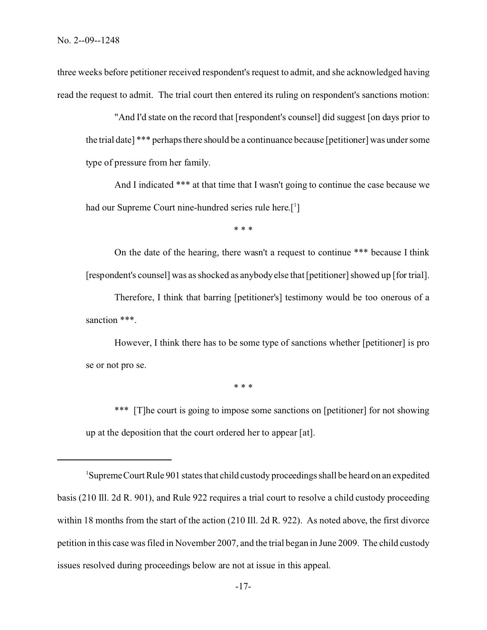three weeks before petitioner received respondent's request to admit, and she acknowledged having read the request to admit. The trial court then entered its ruling on respondent's sanctions motion:

"And I'd state on the record that [respondent's counsel] did suggest [on days prior to the trial date] \*\*\* perhaps there should be a continuance because [petitioner] was under some type of pressure from her family.

And I indicated \*\*\* at that time that I wasn't going to continue the case because we had our Supreme Court nine-hundred series rule here.[<sup>1</sup>]

\* \* \*

On the date of the hearing, there wasn't a request to continue \*\*\* because I think [respondent's counsel] was as shocked as anybody else that [petitioner] showed up [for trial].

Therefore, I think that barring [petitioner's] testimony would be too onerous of a sanction \*\*\*.

However, I think there has to be some type of sanctions whether [petitioner] is pro se or not pro se.

\* \* \*

\*\*\* [T]he court is going to impose some sanctions on [petitioner] for not showing up at the deposition that the court ordered her to appear [at].

<sup>1</sup>SupremeCourt Rule 901 states that child custody proceedings shall be heard on an expedited basis (210 Ill. 2d R. 901), and Rule 922 requires a trial court to resolve a child custody proceeding within 18 months from the start of the action (210 Ill. 2d R. 922). As noted above, the first divorce petition in this case was filed in November 2007, and the trial began in June 2009. The child custody issues resolved during proceedings below are not at issue in this appeal.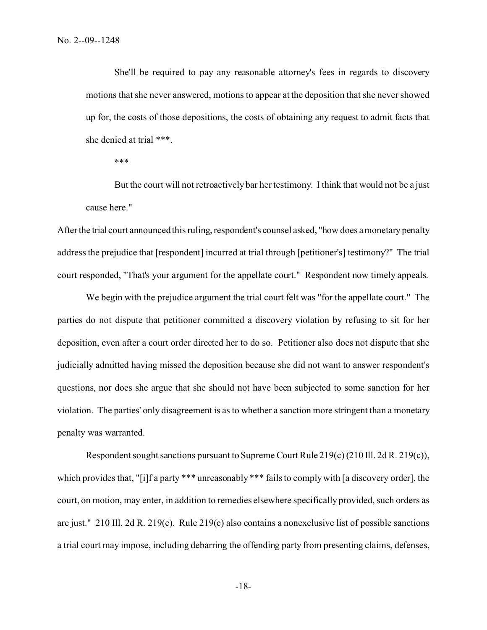She'll be required to pay any reasonable attorney's fees in regards to discovery motions that she never answered, motions to appear at the deposition that she never showed up for, the costs of those depositions, the costs of obtaining any request to admit facts that she denied at trial \*\*\*.

\*\*\*

But the court will not retroactively bar her testimony. I think that would not be a just cause here."

After the trial court announced this ruling, respondent's counsel asked, "how does a monetary penalty address the prejudice that [respondent] incurred at trial through [petitioner's] testimony?" The trial court responded, "That's your argument for the appellate court." Respondent now timely appeals.

We begin with the prejudice argument the trial court felt was "for the appellate court." The parties do not dispute that petitioner committed a discovery violation by refusing to sit for her deposition, even after a court order directed her to do so. Petitioner also does not dispute that she judicially admitted having missed the deposition because she did not want to answer respondent's questions, nor does she argue that she should not have been subjected to some sanction for her violation. The parties' only disagreement is as to whether a sanction more stringent than a monetary penalty was warranted.

Respondent sought sanctions pursuant to Supreme Court Rule 219(c) (210 Ill. 2d R. 219(c)), which provides that, "[i]f a party \*\*\* unreasonably \*\*\* fails to comply with [a discovery order], the court, on motion, may enter, in addition to remedies elsewhere specifically provided, such orders as are just." 210 Ill. 2d R. 219(c). Rule 219(c) also contains a nonexclusive list of possible sanctions a trial court may impose, including debarring the offending party from presenting claims, defenses,

-18-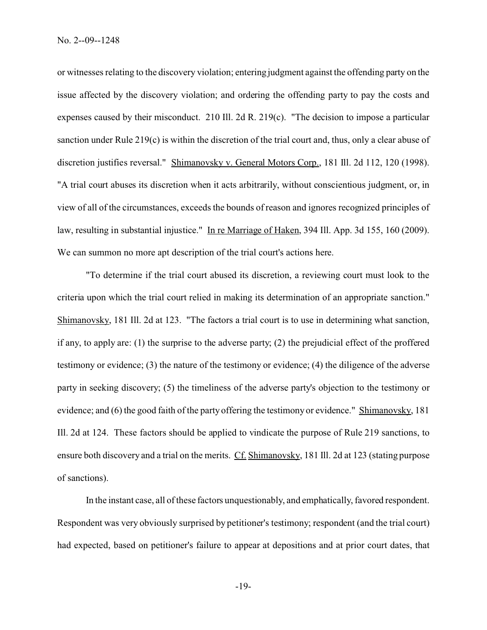or witnesses relating to the discovery violation; entering judgment against the offending party on the issue affected by the discovery violation; and ordering the offending party to pay the costs and expenses caused by their misconduct. 210 Ill. 2d R. 219(c). "The decision to impose a particular sanction under Rule 219(c) is within the discretion of the trial court and, thus, only a clear abuse of discretion justifies reversal." Shimanovsky v. General Motors Corp., 181 Ill. 2d 112, 120 (1998). "A trial court abuses its discretion when it acts arbitrarily, without conscientious judgment, or, in view of all of the circumstances, exceeds the bounds of reason and ignores recognized principles of law, resulting in substantial injustice." In re Marriage of Haken, 394 Ill. App. 3d 155, 160 (2009). We can summon no more apt description of the trial court's actions here.

"To determine if the trial court abused its discretion, a reviewing court must look to the criteria upon which the trial court relied in making its determination of an appropriate sanction." Shimanovsky, 181 Ill. 2d at 123. "The factors a trial court is to use in determining what sanction, if any, to apply are: (1) the surprise to the adverse party; (2) the prejudicial effect of the proffered testimony or evidence; (3) the nature of the testimony or evidence; (4) the diligence of the adverse party in seeking discovery; (5) the timeliness of the adverse party's objection to the testimony or evidence; and (6) the good faith of the party offering the testimony or evidence." Shimanovsky, 181 Ill. 2d at 124. These factors should be applied to vindicate the purpose of Rule 219 sanctions, to ensure both discovery and a trial on the merits. Cf. Shimanovsky, 181 Ill. 2d at 123 (stating purpose of sanctions).

In the instant case, all of these factors unquestionably, and emphatically, favored respondent. Respondent was very obviously surprised by petitioner's testimony; respondent (and the trial court) had expected, based on petitioner's failure to appear at depositions and at prior court dates, that

-19-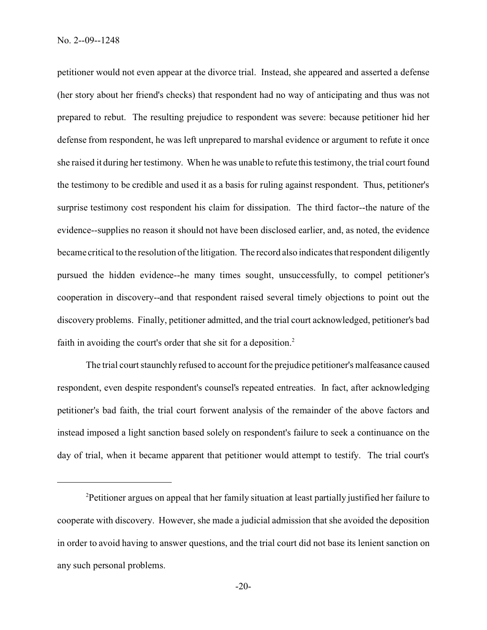petitioner would not even appear at the divorce trial. Instead, she appeared and asserted a defense (her story about her friend's checks) that respondent had no way of anticipating and thus was not prepared to rebut. The resulting prejudice to respondent was severe: because petitioner hid her defense from respondent, he was left unprepared to marshal evidence or argument to refute it once she raised it during her testimony. When he was unable to refute this testimony, the trial court found the testimony to be credible and used it as a basis for ruling against respondent. Thus, petitioner's surprise testimony cost respondent his claim for dissipation. The third factor--the nature of the evidence--supplies no reason it should not have been disclosed earlier, and, as noted, the evidence became critical to the resolution of the litigation. The record also indicates that respondent diligently pursued the hidden evidence--he many times sought, unsuccessfully, to compel petitioner's cooperation in discovery--and that respondent raised several timely objections to point out the discovery problems. Finally, petitioner admitted, and the trial court acknowledged, petitioner's bad faith in avoiding the court's order that she sit for a deposition.<sup>2</sup>

The trial court staunchly refused to account for the prejudice petitioner's malfeasance caused respondent, even despite respondent's counsel's repeated entreaties. In fact, after acknowledging petitioner's bad faith, the trial court forwent analysis of the remainder of the above factors and instead imposed a light sanction based solely on respondent's failure to seek a continuance on the day of trial, when it became apparent that petitioner would attempt to testify. The trial court's

<sup>2</sup>Petitioner argues on appeal that her family situation at least partially justified her failure to cooperate with discovery. However, she made a judicial admission that she avoided the deposition in order to avoid having to answer questions, and the trial court did not base its lenient sanction on any such personal problems.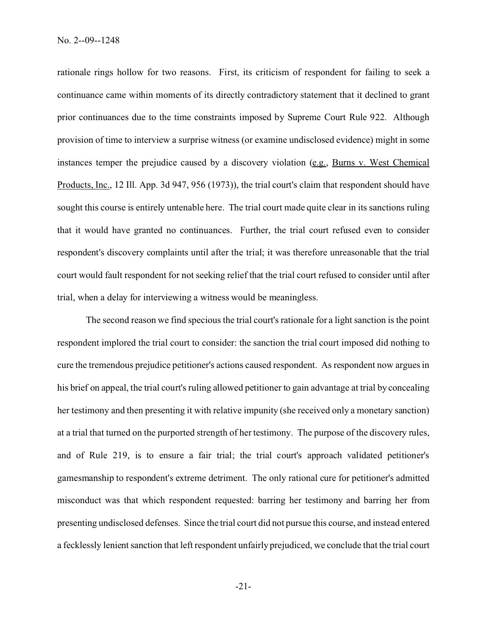rationale rings hollow for two reasons. First, its criticism of respondent for failing to seek a continuance came within moments of its directly contradictory statement that it declined to grant prior continuances due to the time constraints imposed by Supreme Court Rule 922. Although provision of time to interview a surprise witness (or examine undisclosed evidence) might in some instances temper the prejudice caused by a discovery violation (e.g., Burns v. West Chemical Products, Inc., 12 Ill. App. 3d 947, 956 (1973)), the trial court's claim that respondent should have sought this course is entirely untenable here. The trial court made quite clear in its sanctions ruling that it would have granted no continuances. Further, the trial court refused even to consider respondent's discovery complaints until after the trial; it was therefore unreasonable that the trial court would fault respondent for not seeking relief that the trial court refused to consider until after trial, when a delay for interviewing a witness would be meaningless.

The second reason we find specious the trial court's rationale for a light sanction is the point respondent implored the trial court to consider: the sanction the trial court imposed did nothing to cure the tremendous prejudice petitioner's actions caused respondent. As respondent now argues in his brief on appeal, the trial court's ruling allowed petitioner to gain advantage at trial by concealing her testimony and then presenting it with relative impunity (she received only a monetary sanction) at a trial that turned on the purported strength of her testimony. The purpose of the discovery rules, and of Rule 219, is to ensure a fair trial; the trial court's approach validated petitioner's gamesmanship to respondent's extreme detriment. The only rational cure for petitioner's admitted misconduct was that which respondent requested: barring her testimony and barring her from presenting undisclosed defenses. Since the trial court did not pursue this course, and instead entered a fecklessly lenient sanction that left respondent unfairly prejudiced, we conclude that the trial court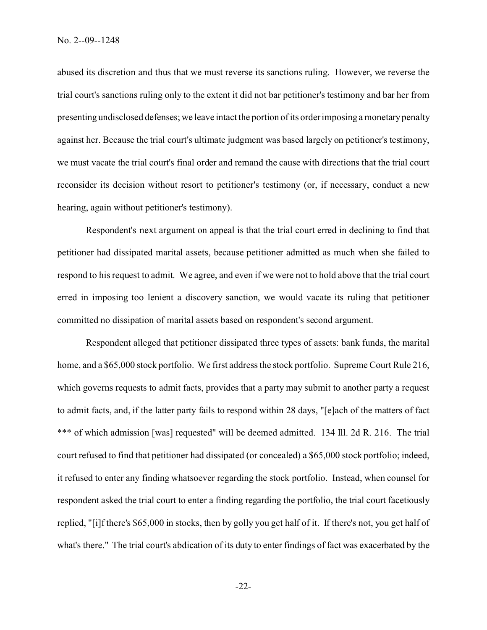abused its discretion and thus that we must reverse its sanctions ruling. However, we reverse the trial court's sanctions ruling only to the extent it did not bar petitioner's testimony and bar her from presenting undisclosed defenses; we leave intact the portion of its order imposing a monetary penalty against her. Because the trial court's ultimate judgment was based largely on petitioner's testimony, we must vacate the trial court's final order and remand the cause with directions that the trial court reconsider its decision without resort to petitioner's testimony (or, if necessary, conduct a new hearing, again without petitioner's testimony).

Respondent's next argument on appeal is that the trial court erred in declining to find that petitioner had dissipated marital assets, because petitioner admitted as much when she failed to respond to his request to admit. We agree, and even if we were not to hold above that the trial court erred in imposing too lenient a discovery sanction, we would vacate its ruling that petitioner committed no dissipation of marital assets based on respondent's second argument.

Respondent alleged that petitioner dissipated three types of assets: bank funds, the marital home, and a \$65,000 stock portfolio. We first address the stock portfolio. Supreme Court Rule 216, which governs requests to admit facts, provides that a party may submit to another party a request to admit facts, and, if the latter party fails to respond within 28 days, "[e]ach of the matters of fact \*\*\* of which admission [was] requested" will be deemed admitted. 134 Ill. 2d R. 216. The trial court refused to find that petitioner had dissipated (or concealed) a \$65,000 stock portfolio; indeed, it refused to enter any finding whatsoever regarding the stock portfolio. Instead, when counsel for respondent asked the trial court to enter a finding regarding the portfolio, the trial court facetiously replied, "[i]f there's \$65,000 in stocks, then by golly you get half of it. If there's not, you get half of what's there." The trial court's abdication of its duty to enter findings of fact was exacerbated by the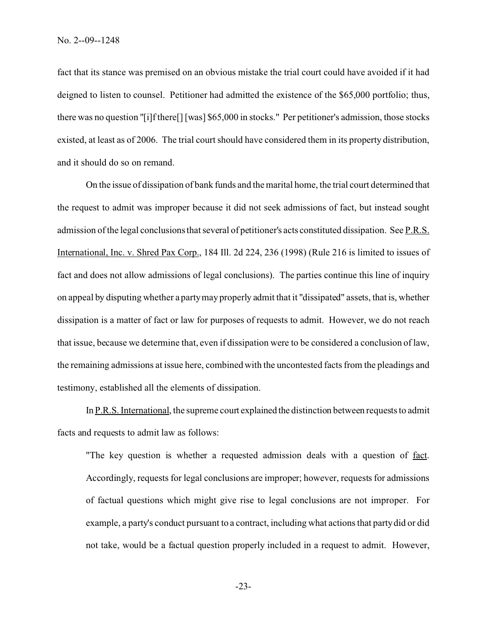fact that its stance was premised on an obvious mistake the trial court could have avoided if it had deigned to listen to counsel. Petitioner had admitted the existence of the \$65,000 portfolio; thus, there was no question "[i]f there[] [was] \$65,000 in stocks." Per petitioner's admission, those stocks existed, at least as of 2006. The trial court should have considered them in its property distribution, and it should do so on remand.

On the issue of dissipation of bank funds and the marital home, the trial court determined that the request to admit was improper because it did not seek admissions of fact, but instead sought admission of the legal conclusions that several of petitioner's acts constituted dissipation. See P.R.S. International, Inc. v. Shred Pax Corp., 184 Ill. 2d 224, 236 (1998) (Rule 216 is limited to issues of fact and does not allow admissions of legal conclusions). The parties continue this line of inquiry on appeal by disputing whether a party may properly admit that it "dissipated" assets, that is, whether dissipation is a matter of fact or law for purposes of requests to admit. However, we do not reach that issue, because we determine that, even if dissipation were to be considered a conclusion of law, the remaining admissions at issue here, combined with the uncontested facts from the pleadings and testimony, established all the elements of dissipation.

In P.R.S. International, the supreme court explained the distinction between requests to admit facts and requests to admit law as follows:

"The key question is whether a requested admission deals with a question of fact. Accordingly, requests for legal conclusions are improper; however, requests for admissions of factual questions which might give rise to legal conclusions are not improper. For example, a party's conduct pursuant to a contract, including what actions that party did or did not take, would be a factual question properly included in a request to admit. However,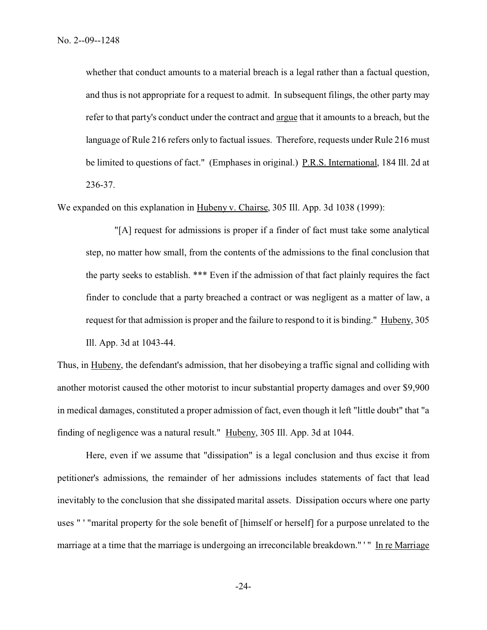whether that conduct amounts to a material breach is a legal rather than a factual question, and thus is not appropriate for a request to admit. In subsequent filings, the other party may refer to that party's conduct under the contract and argue that it amounts to a breach, but the language of Rule 216 refers only to factual issues. Therefore, requests under Rule 216 must be limited to questions of fact." (Emphases in original.) P.R.S. International, 184 Ill. 2d at 236-37.

We expanded on this explanation in Hubeny v. Chairse, 305 Ill. App. 3d 1038 (1999):

"[A] request for admissions is proper if a finder of fact must take some analytical step, no matter how small, from the contents of the admissions to the final conclusion that the party seeks to establish. \*\*\* Even if the admission of that fact plainly requires the fact finder to conclude that a party breached a contract or was negligent as a matter of law, a request for that admission is proper and the failure to respond to it is binding." Hubeny, 305 Ill. App. 3d at 1043-44.

Thus, in Hubeny, the defendant's admission, that her disobeying a traffic signal and colliding with another motorist caused the other motorist to incur substantial property damages and over \$9,900 in medical damages, constituted a proper admission of fact, even though it left "little doubt" that "a finding of negligence was a natural result." Hubeny, 305 Ill. App. 3d at 1044.

Here, even if we assume that "dissipation" is a legal conclusion and thus excise it from petitioner's admissions, the remainder of her admissions includes statements of fact that lead inevitably to the conclusion that she dissipated marital assets. Dissipation occurs where one party uses " ' "marital property for the sole benefit of [himself or herself] for a purpose unrelated to the marriage at a time that the marriage is undergoing an irreconcilable breakdown." '" In re Marriage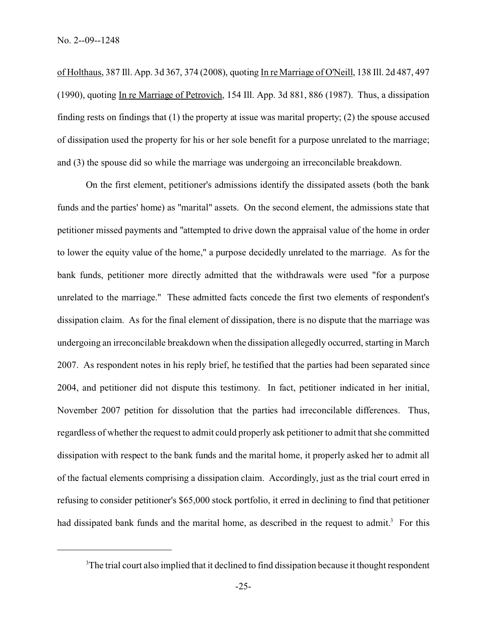of Holthaus, 387 Ill. App. 3d 367, 374 (2008), quoting In re Marriage of O'Neill, 138 Ill. 2d 487, 497 (1990), quoting In re Marriage of Petrovich, 154 Ill. App. 3d 881, 886 (1987). Thus, a dissipation finding rests on findings that (1) the property at issue was marital property; (2) the spouse accused of dissipation used the property for his or her sole benefit for a purpose unrelated to the marriage; and (3) the spouse did so while the marriage was undergoing an irreconcilable breakdown.

On the first element, petitioner's admissions identify the dissipated assets (both the bank funds and the parties' home) as "marital" assets. On the second element, the admissions state that petitioner missed payments and "attempted to drive down the appraisal value of the home in order to lower the equity value of the home," a purpose decidedly unrelated to the marriage. As for the bank funds, petitioner more directly admitted that the withdrawals were used "for a purpose unrelated to the marriage." These admitted facts concede the first two elements of respondent's dissipation claim. As for the final element of dissipation, there is no dispute that the marriage was undergoing an irreconcilable breakdown when the dissipation allegedly occurred, starting in March 2007. As respondent notes in his reply brief, he testified that the parties had been separated since 2004, and petitioner did not dispute this testimony. In fact, petitioner indicated in her initial, November 2007 petition for dissolution that the parties had irreconcilable differences. Thus, regardless of whether the request to admit could properly ask petitioner to admit that she committed dissipation with respect to the bank funds and the marital home, it properly asked her to admit all of the factual elements comprising a dissipation claim. Accordingly, just as the trial court erred in refusing to consider petitioner's \$65,000 stock portfolio, it erred in declining to find that petitioner had dissipated bank funds and the marital home, as described in the request to admit.<sup>3</sup> For this

<sup>&</sup>lt;sup>3</sup>The trial court also implied that it declined to find dissipation because it thought respondent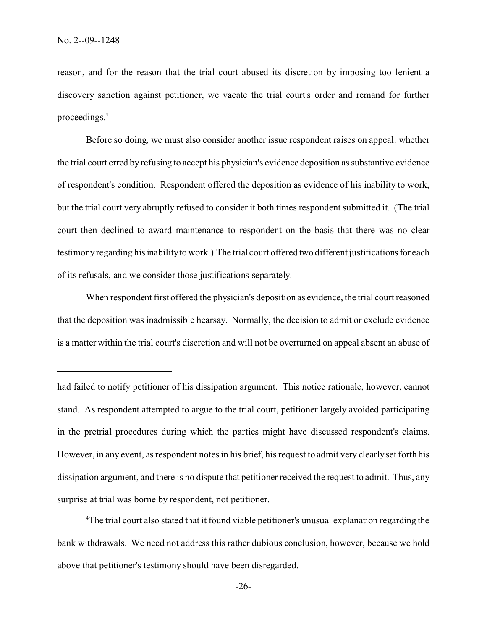reason, and for the reason that the trial court abused its discretion by imposing too lenient a discovery sanction against petitioner, we vacate the trial court's order and remand for further proceedings.<sup>4</sup>

Before so doing, we must also consider another issue respondent raises on appeal: whether the trial court erred by refusing to accept his physician's evidence deposition as substantive evidence of respondent's condition. Respondent offered the deposition as evidence of his inability to work, but the trial court very abruptly refused to consider it both times respondent submitted it. (The trial court then declined to award maintenance to respondent on the basis that there was no clear testimony regarding his inability to work.) The trial court offered two different justifications for each of its refusals, and we consider those justifications separately.

When respondent first offered the physician's deposition as evidence, the trial court reasoned that the deposition was inadmissible hearsay. Normally, the decision to admit or exclude evidence is a matter within the trial court's discretion and will not be overturned on appeal absent an abuse of

<sup>4</sup>The trial court also stated that it found viable petitioner's unusual explanation regarding the bank withdrawals. We need not address this rather dubious conclusion, however, because we hold above that petitioner's testimony should have been disregarded.

had failed to notify petitioner of his dissipation argument. This notice rationale, however, cannot stand. As respondent attempted to argue to the trial court, petitioner largely avoided participating in the pretrial procedures during which the parties might have discussed respondent's claims. However, in any event, as respondent notes in his brief, his request to admit very clearly set forth his dissipation argument, and there is no dispute that petitioner received the request to admit. Thus, any surprise at trial was borne by respondent, not petitioner.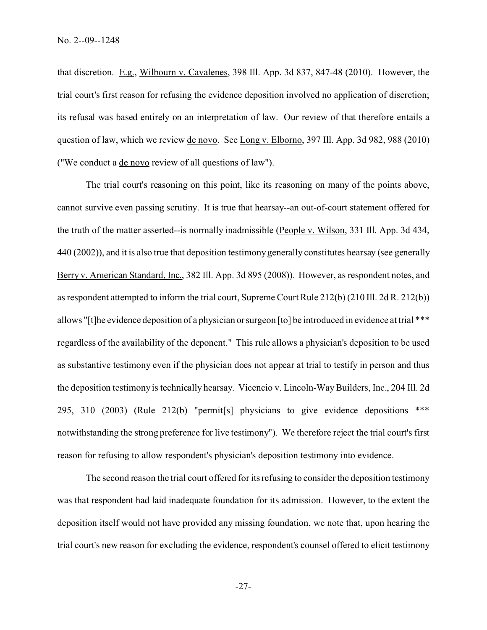that discretion. E.g., Wilbourn v. Cavalenes, 398 Ill. App. 3d 837, 847-48 (2010). However, the trial court's first reason for refusing the evidence deposition involved no application of discretion; its refusal was based entirely on an interpretation of law. Our review of that therefore entails a question of law, which we review de novo. See Long v. Elborno, 397 Ill. App. 3d 982, 988 (2010) ("We conduct a de novo review of all questions of law").

The trial court's reasoning on this point, like its reasoning on many of the points above, cannot survive even passing scrutiny. It is true that hearsay--an out-of-court statement offered for the truth of the matter asserted--is normally inadmissible (People v. Wilson, 331 Ill. App. 3d 434, 440 (2002)), and it is also true that deposition testimony generally constitutes hearsay (see generally Berry v. American Standard, Inc., 382 Ill. App. 3d 895 (2008)). However, as respondent notes, and as respondent attempted to inform the trial court, Supreme Court Rule 212(b) (210 Ill. 2d R. 212(b)) allows "[t]he evidence deposition of a physician or surgeon [to] be introduced in evidence at trial \*\*\* regardless of the availability of the deponent." This rule allows a physician's deposition to be used as substantive testimony even if the physician does not appear at trial to testify in person and thus the deposition testimony is technically hearsay. Vicencio v. Lincoln-Way Builders, Inc., 204 Ill. 2d 295, 310 (2003) (Rule 212(b) "permit[s] physicians to give evidence depositions \*\*\* notwithstanding the strong preference for live testimony"). We therefore reject the trial court's first reason for refusing to allow respondent's physician's deposition testimony into evidence.

The second reason the trial court offered for its refusing to consider the deposition testimony was that respondent had laid inadequate foundation for its admission. However, to the extent the deposition itself would not have provided any missing foundation, we note that, upon hearing the trial court's new reason for excluding the evidence, respondent's counsel offered to elicit testimony

-27-